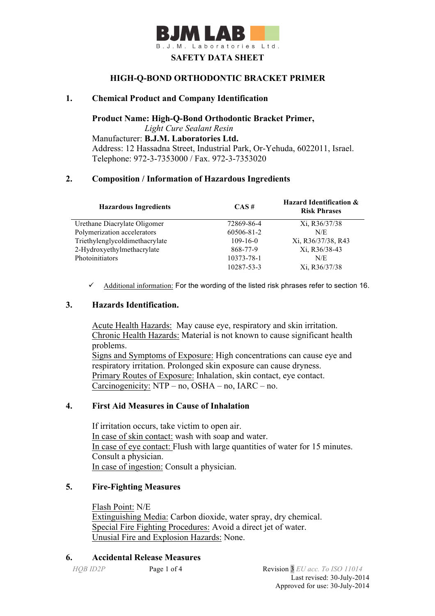

#### **HIGH-Q-BOND ORTHODONTIC BRACKET PRIMER**

### **1. Chemical Product and Company Identification**

**Product Name: High-Q-Bond Orthodontic Bracket Primer,** 

*Light Cure Sealant Resin* Manufacturer: **B.J.M. Laboratories Ltd.** Address: 12 Hassadna Street, Industrial Park, Or-Yehuda, 6022011, Israel. Telephone: 972-3-7353000 / Fax. 972-3-7353020

#### **2. Composition / Information of Hazardous Ingredients**

| <b>Hazardous Ingredients</b>   | $CAS \#$       | <b>Hazard Identification &amp;</b><br><b>Risk Phrases</b> |
|--------------------------------|----------------|-----------------------------------------------------------|
| Urethane Diacrylate Oligomer   | 72869-86-4     | Xi, R36/37/38                                             |
| Polymerization accelerators    | 60506-81-2     | N/E                                                       |
| Triethylenglycoldimethacrylate | $109 - 16 - 0$ | Xi, R36/37/38, R43                                        |
| 2-Hydroxyethylmethacrylate     | 868-77-9       | Xi, R36/38-43                                             |
| Photoinitiators                | 10373-78-1     | N/E                                                       |
|                                | 10287-53-3     | Xi, R36/37/38                                             |

 $\checkmark$  Additional information: For the wording of the listed risk phrases refer to section 16.

### **3. Hazards Identification.**

Acute Health Hazards: May cause eye, respiratory and skin irritation. Chronic Health Hazards: Material is not known to cause significant health problems.

Signs and Symptoms of Exposure: High concentrations can cause eye and respiratory irritation. Prolonged skin exposure can cause dryness. Primary Routes of Exposure: Inhalation, skin contact, eye contact. Carcinogenicity: NTP – no, OSHA – no, IARC – no.

## **4. First Aid Measures in Cause of Inhalation**

 If irritation occurs, take victim to open air. In case of skin contact: wash with soap and water. In case of eye contact: Flush with large quantities of water for 15 minutes. Consult a physician. In case of ingestion: Consult a physician.

## **5. Fire-Fighting Measures**

Flash Point: N/E Extinguishing Media: Carbon dioxide, water spray, dry chemical. Special Fire Fighting Procedures: Avoid a direct jet of water. Unusial Fire and Explosion Hazards: None.

### **6. Accidental Release Measures**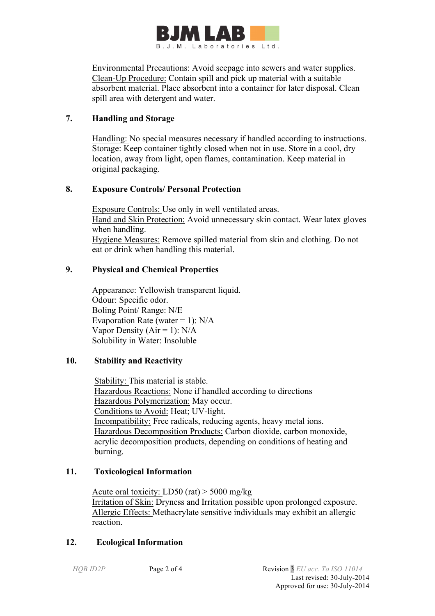

 Environmental Precautions: Avoid seepage into sewers and water supplies. Clean-Up Procedure: Contain spill and pick up material with a suitable absorbent material. Place absorbent into a container for later disposal. Clean spill area with detergent and water.

# **7. Handling and Storage**

 Handling: No special measures necessary if handled according to instructions. Storage: Keep container tightly closed when not in use. Store in a cool, dry location, away from light, open flames, contamination. Keep material in original packaging.

# **8. Exposure Controls/ Personal Protection**

 Exposure Controls: Use only in well ventilated areas. Hand and Skin Protection: Avoid unnecessary skin contact. Wear latex gloves when handling. Hygiene Measures: Remove spilled material from skin and clothing. Do not eat or drink when handling this material.

# **9. Physical and Chemical Properties**

Appearance: Yellowish transparent liquid. Odour: Specific odor. Boling Point/ Range: N/E Evaporation Rate (water = 1):  $N/A$ Vapor Density ( $Air = 1$ ):  $N/A$ Solubility in Water: Insoluble

# **10. Stability and Reactivity**

 Stability: This material is stable. Hazardous Reactions: None if handled according to directions Hazardous Polymerization: May occur. Conditions to Avoid: Heat; UV-light. Incompatibility: Free radicals, reducing agents, heavy metal ions. Hazardous Decomposition Products: Carbon dioxide, carbon monoxide, acrylic decomposition products, depending on conditions of heating and burning.

# **11. Toxicological Information**

Acute oral toxicity: LD50 (rat) > 5000 mg/kg Irritation of Skin: Dryness and Irritation possible upon prolonged exposure. Allergic Effects: Methacrylate sensitive individuals may exhibit an allergic reaction.

# **12. Ecological Information**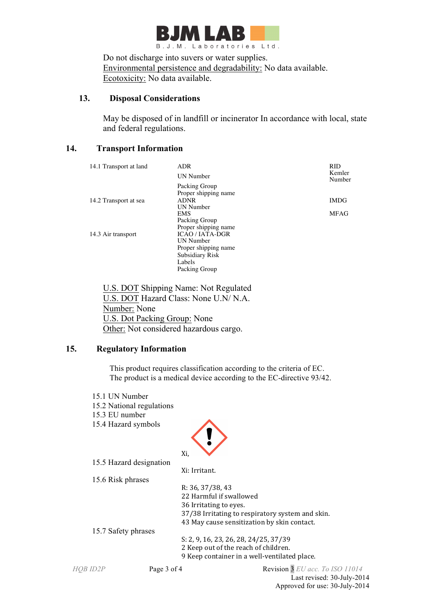

 Do not discharge into suvers or water supplies. Environmental persistence and degradability: No data available. Ecotoxicity: No data available.

## **13. Disposal Considerations**

 May be disposed of in landfill or incinerator In accordance with local, state and federal regulations.

## **14. Transport Information**

| 14.1 Transport at land | ADR<br><b>UN Number</b>                                            | <b>RID</b><br>Kemler<br>Number |
|------------------------|--------------------------------------------------------------------|--------------------------------|
|                        | Packing Group                                                      |                                |
| 14.2 Transport at sea  | Proper shipping name<br><b>ADNR</b><br>UN Number                   | <b>IMDG</b>                    |
|                        | <b>EMS</b><br>Packing Group                                        | <b>MFAG</b>                    |
| 14.3 Air transport     | Proper shipping name<br><b>ICAO / IATA-DGR</b><br><b>UN Number</b> |                                |
|                        | Proper shipping name<br>Subsidiary Risk                            |                                |
|                        | Labels                                                             |                                |
|                        | Packing Group                                                      |                                |

 U.S. DOT Shipping Name: Not Regulated U.S. DOT Hazard Class: None U.N/ N.A. Number: None U.S. Dot Packing Group: None Other: Not considered hazardous cargo.

## **15. Regulatory Information**

This product requires classification according to the criteria of EC. The product is a medical device according to the EC-directive 93/42.

| 15.1 UN Number<br>15.3 EU number<br>15.4 Hazard symbols | 15.2 National regulations |                                                  |
|---------------------------------------------------------|---------------------------|--------------------------------------------------|
|                                                         | Xi,                       |                                                  |
|                                                         | 15.5 Hazard designation   |                                                  |
|                                                         |                           | Xi: Irritant.                                    |
| 15.6 Risk phrases                                       |                           |                                                  |
|                                                         |                           | R: 36, 37/38, 43                                 |
|                                                         |                           | 22 Harmful if swallowed                          |
|                                                         |                           | 36 Irritating to eyes.                           |
|                                                         |                           | 37/38 Irritating to respiratory system and skin. |
|                                                         |                           | 43 May cause sensitization by skin contact.      |
| 15.7 Safety phrases                                     |                           |                                                  |
|                                                         |                           | S: 2, 9, 16, 23, 26, 28, 24/25, 37/39            |
|                                                         |                           | 2 Keep out of the reach of children.             |
|                                                         |                           | 9 Keep container in a well-ventilated place.     |
| HOB ID2P                                                | Page 3 of 4               | Revision 3 EU acc. To ISO 11014                  |